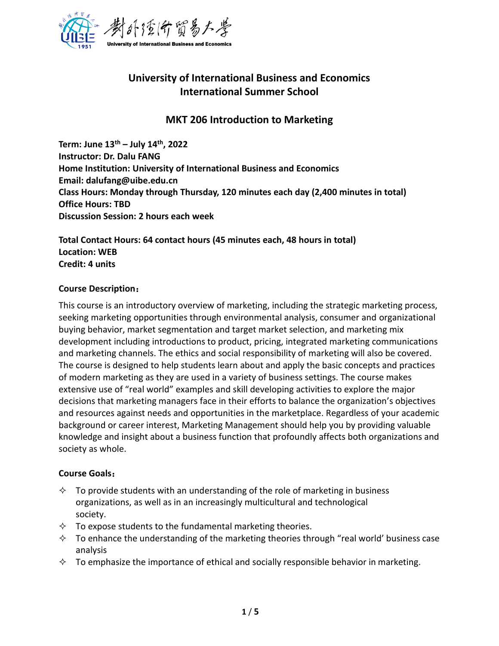

# **University of International Business and Economics International Summer School**

# **MKT 206 Introduction to Marketing**

**Term: June 13th – July 14th, 2022 Instructor: Dr. Dalu FANG Home Institution: University of International Business and Economics Email: dalufang@uibe.edu.cn Class Hours: Monday through Thursday, 120 minutes each day (2,400 minutes in total) Office Hours: TBD Discussion Session: 2 hours each week** 

**Total Contact Hours: 64 contact hours (45 minutes each, 48 hours in total) Location: WEB Credit: 4 units**

#### **Course Description**:

This course is an introductory overview of marketing, including the strategic marketing process, seeking marketing opportunities through environmental analysis, consumer and organizational buying behavior, market segmentation and target market selection, and marketing mix development including introductions to product, pricing, integrated marketing communications and marketing channels. The ethics and social responsibility of marketing will also be covered. The course is designed to help students learn about and apply the basic concepts and practices of modern marketing as they are used in a variety of business settings. The course makes extensive use of "real world" examples and skill developing activities to explore the major decisions that marketing managers face in their efforts to balance the organization's objectives and resources against needs and opportunities in the marketplace. Regardless of your academic background or career interest, Marketing Management should help you by providing valuable knowledge and insight about a business function that profoundly affects both organizations and society as whole.

#### **Course Goals**:

- $\Diamond$  To provide students with an understanding of the role of marketing in business organizations, as well as in an increasingly multicultural and technological society.
- $\Diamond$  To expose students to the fundamental marketing theories.
- $\Diamond$  To enhance the understanding of the marketing theories through "real world' business case analysis
- $\Diamond$  To emphasize the importance of ethical and socially responsible behavior in marketing.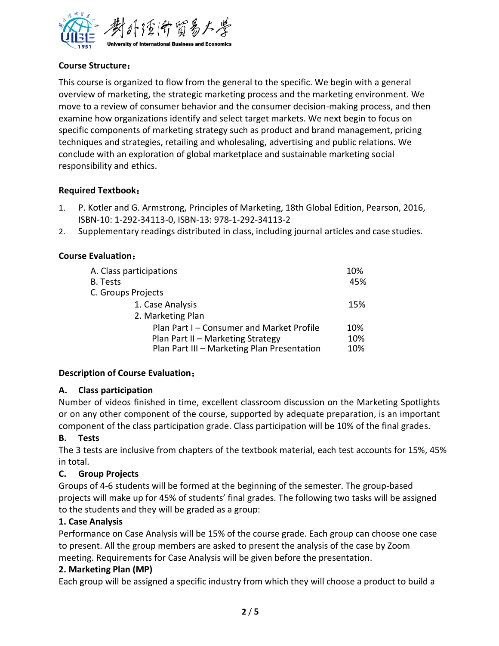

### **Course Structure**:

This course is organized to flow from the general to the specific. We begin with a general overview of marketing, the strategic marketing process and the marketing environment. We move to a review of consumer behavior and the consumer decision-making process, and then examine how organizations identify and select target markets. We next begin to focus on specific components of marketing strategy such as product and brand management, pricing techniques and strategies, retailing and wholesaling, advertising and public relations. We conclude with an exploration of global marketplace and sustainable marketing social responsibility and ethics.

#### **Required Textbook**:

- 1. P. Kotler and G. Armstrong, Principles of Marketing, 18th Global Edition, Pearson, 2016, ISBN-10: 1-292-34113-0, ISBN-13: 978-1-292-34113-2
- 2. Supplementary readings distributed in class, including journal articles and case studies.

#### **Course Evaluation**:

| A. Class participations                     |     |  |
|---------------------------------------------|-----|--|
| B. Tests                                    | 45% |  |
| C. Groups Projects                          |     |  |
| 1. Case Analysis                            | 15% |  |
| 2. Marketing Plan                           |     |  |
| Plan Part I - Consumer and Market Profile   | 10% |  |
| Plan Part II - Marketing Strategy           | 10% |  |
| Plan Part III - Marketing Plan Presentation | 10% |  |

#### **Description of Course Evaluation**:

#### **A. Class participation**

Number of videos finished in time, excellent classroom discussion on the Marketing Spotlights or on any other component of the course, supported by adequate preparation, is an important component of the class participation grade. Class participation will be 10% of the final grades.

### **B. Tests**

The 3 tests are inclusive from chapters of the textbook material, each test accounts for 15%, 45% in total.

### **C. Group Projects**

Groups of 4-6 students will be formed at the beginning of the semester. The group-based projects will make up for 45% of students' final grades. The following two tasks will be assigned to the students and they will be graded as a group:

### **1. Case Analysis**

Performance on Case Analysis will be 15% of the course grade. Each group can choose one case to present. All the group members are asked to present the analysis of the case by Zoom meeting. Requirements for Case Analysis will be given before the presentation.

#### **2. Marketing Plan (MP)**

Each group will be assigned a specific industry from which they will choose a product to build a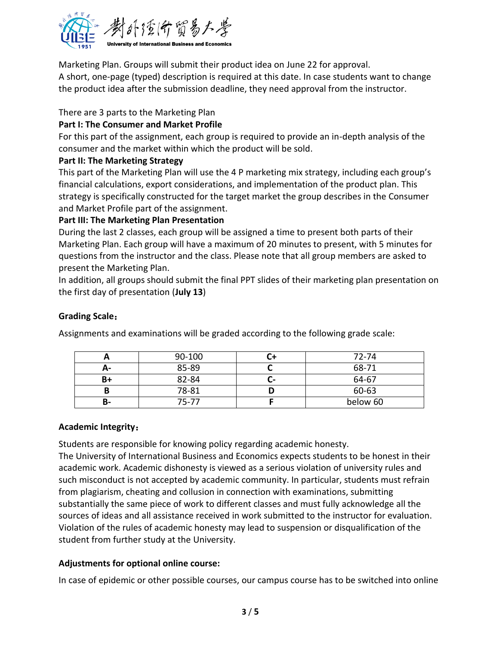

Marketing Plan. Groups will submit their product idea on June 22 for approval.

A short, one-page (typed) description is required at this date. In case students want to change the product idea after the submission deadline, they need approval from the instructor.

### There are 3 parts to the Marketing Plan

### **Part I: The Consumer and Market Profile**

For this part of the assignment, each group is required to provide an in-depth analysis of the consumer and the market within which the product will be sold.

### **Part II: The Marketing Strategy**

This part of the Marketing Plan will use the 4 P marketing mix strategy, including each group's financial calculations, export considerations, and implementation of the product plan. This strategy is specifically constructed for the target market the group describes in the Consumer and Market Profile part of the assignment.

# **Part III: The Marketing Plan Presentation**

During the last 2 classes, each group will be assigned a time to present both parts of their Marketing Plan. Each group will have a maximum of 20 minutes to present, with 5 minutes for questions from the instructor and the class. Please note that all group members are asked to present the Marketing Plan.

In addition, all groups should submit the final PPT slides of their marketing plan presentation on the first day of presentation (**July 13**)

# **Grading Scale**:

Assignments and examinations will be graded according to the following grade scale:

|    | 90-100    |    | 72-74    |
|----|-----------|----|----------|
| А- | 85-89     |    | 68-71    |
| B+ | 82-84     | u= | 64-67    |
| B  | 78-81     |    | 60-63    |
| В- | $75 - 77$ |    | below 60 |

#### **Academic Integrity**:

Students are responsible for knowing policy regarding academic honesty.

The University of International Business and Economics expects students to be honest in their academic work. Academic dishonesty is viewed as a serious violation of university rules and such misconduct is not accepted by academic community. In particular, students must refrain from plagiarism, cheating and collusion in connection with examinations, submitting substantially the same piece of work to different classes and must fully acknowledge all the sources of ideas and all assistance received in work submitted to the instructor for evaluation. Violation of the rules of academic honesty may lead to suspension or disqualification of the student from further study at the University.

### **Adjustments for optional online course:**

In case of epidemic or other possible courses, our campus course has to be switched into online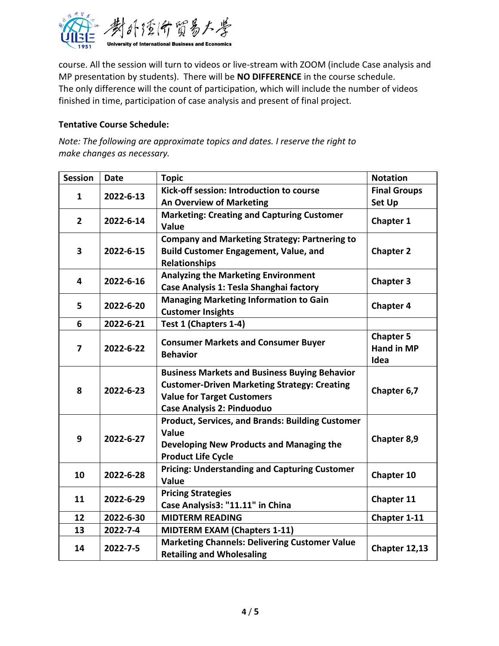

course. All the session will turn to videos or live-stream with ZOOM (include Case analysis and MP presentation by students). There will be **NO DIFFERENCE** in the course schedule. The only difference will the count of participation, which will include the number of videos finished in time, participation of case analysis and present of final project.

#### **Tentative Course Schedule:**

*Note: The following are approximate topics and dates. I reserve the right to make changes as necessary.*

| <b>Session</b>            | <b>Date</b>                              | <b>Topic</b>                                                  | <b>Notation</b>   |
|---------------------------|------------------------------------------|---------------------------------------------------------------|-------------------|
| 2022-6-13<br>$\mathbf{1}$ | Kick-off session: Introduction to course | <b>Final Groups</b>                                           |                   |
|                           | <b>An Overview of Marketing</b>          | <b>Set Up</b>                                                 |                   |
| $\mathbf{2}$              | 2022-6-14                                | <b>Marketing: Creating and Capturing Customer</b>             | Chapter 1         |
|                           |                                          | Value                                                         |                   |
|                           | 2022-6-15                                | <b>Company and Marketing Strategy: Partnering to</b>          |                   |
| 3                         |                                          | <b>Build Customer Engagement, Value, and</b>                  | <b>Chapter 2</b>  |
|                           |                                          | <b>Relationships</b>                                          |                   |
| 4                         | 2022-6-16                                | <b>Analyzing the Marketing Environment</b>                    | <b>Chapter 3</b>  |
|                           |                                          | Case Analysis 1: Tesla Shanghai factory                       |                   |
|                           |                                          | <b>Managing Marketing Information to Gain</b>                 |                   |
| 5                         | 2022-6-20                                | <b>Customer Insights</b>                                      | <b>Chapter 4</b>  |
| 6                         | 2022-6-21                                | Test 1 (Chapters 1-4)                                         |                   |
|                           | 2022-6-22                                |                                                               | <b>Chapter 5</b>  |
| 7                         |                                          | <b>Consumer Markets and Consumer Buyer</b><br><b>Behavior</b> | <b>Hand in MP</b> |
|                           |                                          |                                                               | Idea              |
|                           | 2022-6-23                                | <b>Business Markets and Business Buying Behavior</b>          |                   |
| 8                         |                                          | <b>Customer-Driven Marketing Strategy: Creating</b>           | Chapter 6,7       |
|                           |                                          | <b>Value for Target Customers</b>                             |                   |
|                           |                                          | <b>Case Analysis 2: Pinduoduo</b>                             |                   |
|                           | 2022-6-27                                | <b>Product, Services, and Brands: Building Customer</b>       |                   |
| 9                         |                                          | Value                                                         | Chapter 8,9       |
|                           |                                          | Developing New Products and Managing the                      |                   |
|                           |                                          | <b>Product Life Cycle</b>                                     |                   |
| 10                        | 2022-6-28                                | <b>Pricing: Understanding and Capturing Customer</b>          | Chapter 10        |
|                           |                                          | Value                                                         |                   |
| 11                        | 2022-6-29                                | <b>Pricing Strategies</b>                                     | Chapter 11        |
|                           |                                          | Case Analysis3: "11.11" in China                              |                   |
| 12                        | 2022-6-30                                | <b>MIDTERM READING</b>                                        | Chapter 1-11      |
| 13                        | 2022-7-4                                 | <b>MIDTERM EXAM (Chapters 1-11)</b>                           |                   |
| 14                        | 2022-7-5                                 | <b>Marketing Channels: Delivering Customer Value</b>          | Chapter 12,13     |
|                           |                                          | <b>Retailing and Wholesaling</b>                              |                   |